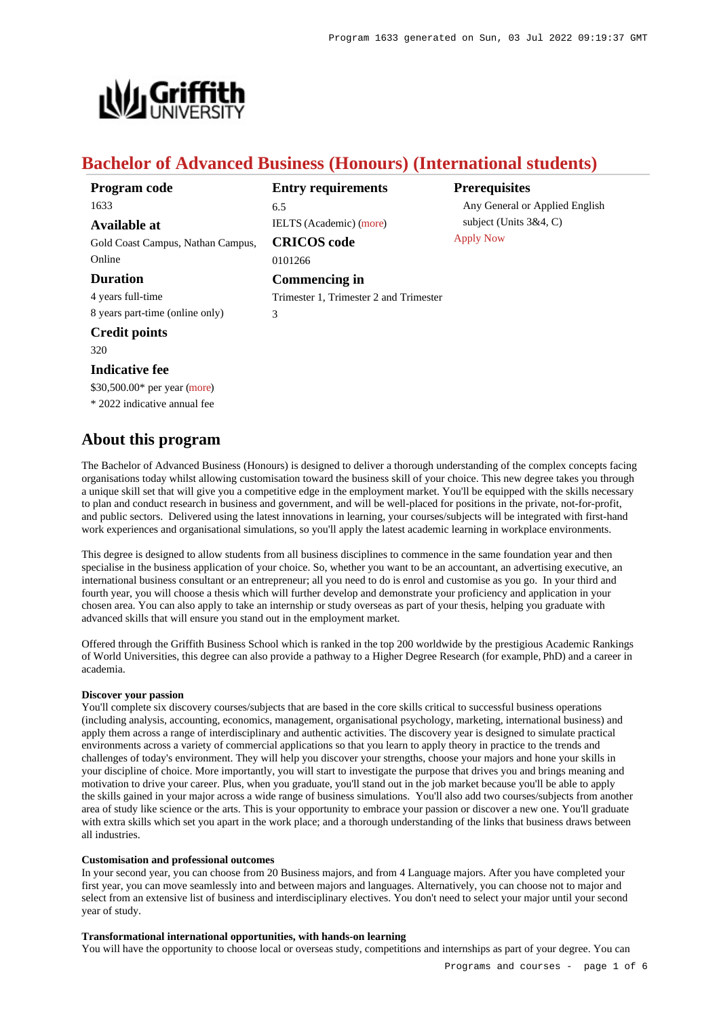

# **Bachelor of Advanced Business (Honours) (International students)**

| Program code                      | <b>Entry requirements</b>              |     |  |
|-----------------------------------|----------------------------------------|-----|--|
| 1633                              | 6.5                                    |     |  |
| Available at                      | IELTS (Academic) (more)                | sul |  |
| Gold Coast Campus, Nathan Campus, | Appl<br><b>CRICOS</b> code             |     |  |
| Online                            | 0101266                                |     |  |
| <b>Duration</b>                   | Commencing in                          |     |  |
| 4 years full-time                 | Trimester 1, Trimester 2 and Trimester |     |  |
| 8 years part-time (online only)   | 3                                      |     |  |
| <b>Credit points</b>              |                                        |     |  |
| 320                               |                                        |     |  |
| <b>Indicative fee</b>             |                                        |     |  |
| $$30,500.00*$ per year (more)     |                                        |     |  |
| * 2022 indicative annual fee      |                                        |     |  |
|                                   |                                        |     |  |

# **About this program**

# **Prerequisites**

ny General or Applied English bject (Units  $3&4, C$ ) ly Now

The Bachelor of Advanced Business (Honours) is designed to deliver a thorough understanding of the complex concepts facing organisations today whilst allowing customisation toward the business skill of your choice. This new degree takes you through a unique skill set that will give you a competitive edge in the employment market. You'll be equipped with the skills necessary to plan and conduct research in business and government, and will be well-placed for positions in the private, not-for-profit, and public sectors. Delivered using the latest innovations in learning, your courses/subjects will be integrated with first-hand work experiences and organisational simulations, so you'll apply the latest academic learning in workplace environments.

This degree is designed to allow students from all business disciplines to commence in the same foundation year and then specialise in the business application of your choice. So, whether you want to be an accountant, an advertising executive, an international business consultant or an entrepreneur; all you need to do is enrol and customise as you go. In your third and fourth year, you will choose a thesis which will further develop and demonstrate your proficiency and application in your chosen area. You can also apply to take an internship or study overseas as part of your thesis, helping you graduate with advanced skills that will ensure you stand out in the employment market.

Offered through the Griffith Business School which is ranked in the top 200 worldwide by the prestigious Academic Rankings of World Universities, this degree can also provide a pathway to a Higher Degree Research (for example, PhD) and a career in academia.

## **Discover your passion**

You'll complete six discovery courses/subjects that are based in the core skills critical to successful business operations (including analysis, accounting, economics, management, organisational psychology, marketing, international business) and apply them across a range of interdisciplinary and authentic activities. The discovery year is designed to simulate practical environments across a variety of commercial applications so that you learn to apply theory in practice to the trends and challenges of today's environment. They will help you discover your strengths, choose your majors and hone your skills in your discipline of choice. More importantly, you will start to investigate the purpose that drives you and brings meaning and motivation to drive your career. Plus, when you graduate, you'll stand out in the job market because you'll be able to apply the skills gained in your major across a wide range of business simulations. You'll also add two courses/subjects from another area of study like science or the arts. This is your opportunity to embrace your passion or discover a new one. You'll graduate with extra skills which set you apart in the work place; and a thorough understanding of the links that business draws between all industries.

# **Customisation and professional outcomes**

In your second year, you can choose from 20 Business majors, and from 4 Language majors. After you have completed your first year, you can move seamlessly into and between majors and languages. Alternatively, you can choose not to major and select from an extensive list of business and interdisciplinary electives. You don't need to select your major until your second year of study.

# **Transformational international opportunities, with hands-on learning**

You will have the opportunity to choose local or overseas study, competitions and internships as part of your degree. You can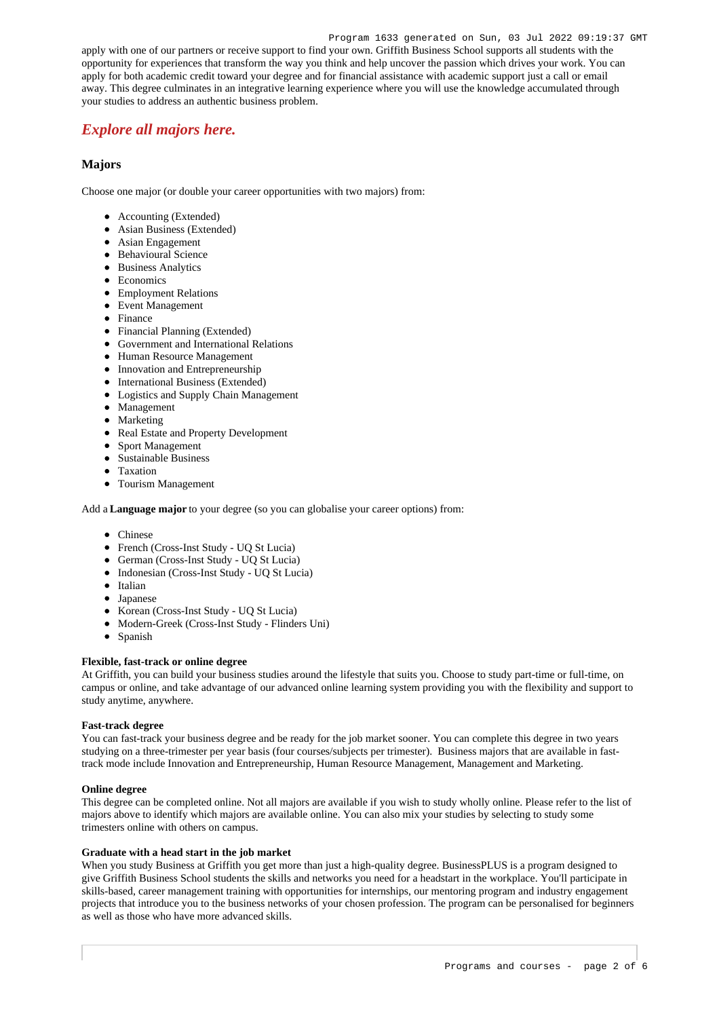apply with one of our partners or receive support to find your own. Griffith Business School supports all students with the opportunity for experiences that transform the way you think and help uncover the passion which drives your work. You can apply for both academic credit toward your degree and for financial assistance with academic support just a call or email away. This degree culminates in an integrative learning experience where you will use the knowledge accumulated through your studies to address an authentic business problem.

# *[Explore all majors here.](https://www.griffith.edu.au/study/business-government/business?location=dom#majors)*

# **Majors**

Choose one major (or double your career opportunities with two majors) from:

- Accounting (Extended)
- Asian Business (Extended)
- Asian Engagement
- Behavioural Science
- Business Analytics
- Economics
- Employment Relations
- Event Management
- Finance
- Financial Planning (Extended)
- Government and International Relations
- Human Resource Management
- Innovation and Entrepreneurship
- International Business (Extended)
- Logistics and Supply Chain Management
- Management
- Marketing  $\bullet$
- Real Estate and Property Development
- Sport Management
- Sustainable Business
- Taxation
- Tourism Management

Add a **Language major** to your degree (so you can globalise your career options) from:

- Chinese
- French (Cross-Inst Study UQ St Lucia)
- German (Cross-Inst Study UQ St Lucia)
- Indonesian (Cross-Inst Study UQ St Lucia)
- Italian
- Japanese
- Korean (Cross-Inst Study UO St Lucia)
- Modern-Greek (Cross-Inst Study Flinders Uni)  $\bullet$
- Spanish

# **Flexible, fast-track or online degree**

At Griffith, you can build your business studies around the lifestyle that suits you. Choose to study part-time or full-time, on campus or online, and take advantage of our advanced online learning system providing you with the flexibility and support to study anytime, anywhere.

## **Fast-track degree**

You can fast-track your business degree and be ready for the job market sooner. You can complete this degree in two years studying on a three-trimester per year basis (four courses/subjects per trimester). Business majors that are available in fasttrack mode include Innovation and Entrepreneurship, Human Resource Management, Management and Marketing.

## **Online degree**

This degree can be completed online. Not all majors are available if you wish to study wholly online. Please refer to the list of majors above to identify which majors are available online. You can also mix your studies by selecting to study some trimesters online with others on campus.

# **Graduate with a head start in the job market**

When you study Business at Griffith you get more than just a high-quality degree. BusinessPLUS is a program designed to give Griffith Business School students the skills and networks you need for a headstart in the workplace. You'll participate in skills-based, career management training with opportunities for internships, our mentoring program and industry engagement projects that introduce you to the business networks of your chosen profession. The program can be personalised for beginners as well as those who have more advanced skills.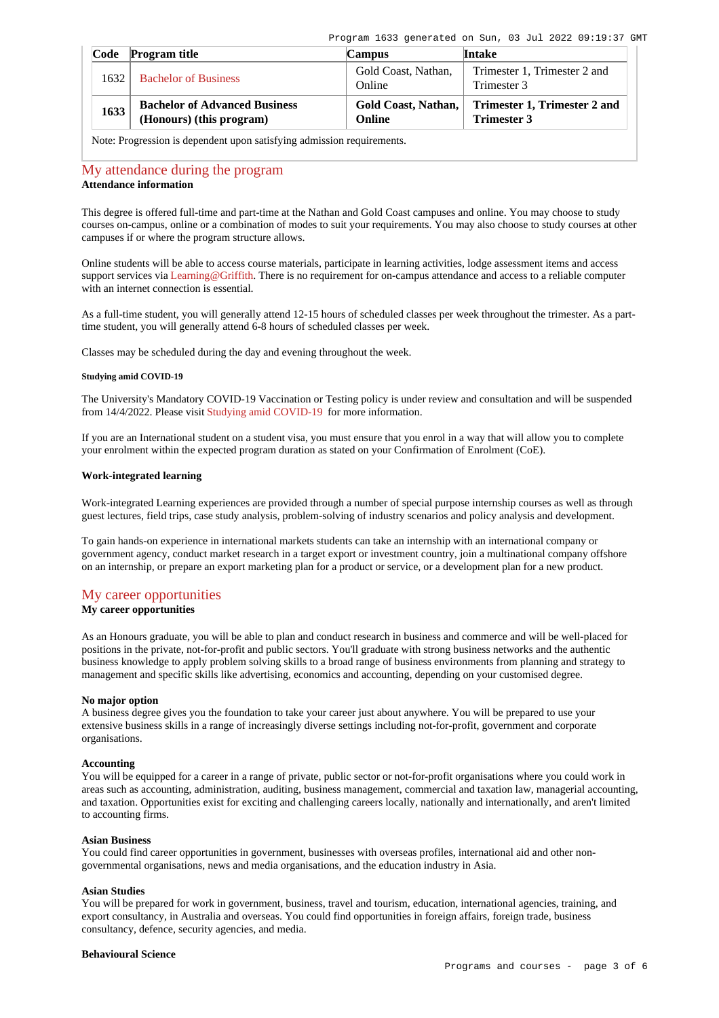| Code | <b>Program title</b>                                             | <b>Campus</b>                 | Intake                                             |
|------|------------------------------------------------------------------|-------------------------------|----------------------------------------------------|
| 1632 | <b>Bachelor of Business</b>                                      | Gold Coast, Nathan,<br>Online | Trimester 1, Trimester 2 and<br>Trimester 3        |
| 1633 | <b>Bachelor of Advanced Business</b><br>(Honours) (this program) | Gold Coast, Nathan,<br>Online | Trimester 1, Trimester 2 and<br><b>Trimester 3</b> |

Note: Progression is dependent upon satisfying admission requirements.

# [My attendance during the program](https://www148.griffith.edu.au/programs-courses/Program/1633/Overview/International#attendance) **Attendance information**

This degree is offered full-time and part-time at the Nathan and Gold Coast campuses and online. You may choose to study courses on-campus, online or a combination of modes to suit your requirements. You may also choose to study courses at other campuses if or where the program structure allows.

Online students will be able to access course materials, participate in learning activities, lodge assessment items and access support services via [Learning@Griffith](https://learning.secure.griffith.edu.au/webapps/portal/frameset.jsp). There is no requirement for on-campus attendance and access to a reliable computer with an internet connection is essential.

As a full-time student, you will generally attend 12-15 hours of scheduled classes per week throughout the trimester. As a parttime student, you will generally attend 6-8 hours of scheduled classes per week.

Classes may be scheduled during the day and evening throughout the week.

# **Studying amid COVID-19**

The University's Mandatory COVID-19 Vaccination or Testing policy is under review and consultation and will be suspended from 14/4/2022. Please visit [Studying amid COVID-19](https://www.griffith.edu.au/coronavirus/studying-amid-covid-19) for more information.

If you are an International student on a student visa, you must ensure that you enrol in a way that will allow you to complete your enrolment within the expected program duration as stated on your Confirmation of Enrolment (CoE).

# **Work-integrated learning**

Work-integrated Learning experiences are provided through a number of special purpose internship courses as well as through guest lectures, field trips, case study analysis, problem-solving of industry scenarios and policy analysis and development.

To gain hands-on experience in international markets students can take an internship with an international company or government agency, conduct market research in a target export or investment country, join a multinational company offshore on an internship, or prepare an export marketing plan for a product or service, or a development plan for a new product.

# [My career opportunities](https://www148.griffith.edu.au/programs-courses/Program/1633/Overview/International#opportunities)

# **My career opportunities**

As an Honours graduate, you will be able to plan and conduct research in business and commerce and will be well-placed for positions in the private, not-for-profit and public sectors. You'll graduate with strong business networks and the authentic business knowledge to apply problem solving skills to a broad range of business environments from planning and strategy to management and specific skills like advertising, economics and accounting, depending on your customised degree.

## **No major option**

A business degree gives you the foundation to take your career just about anywhere. You will be prepared to use your extensive business skills in a range of increasingly diverse settings including not-for-profit, government and corporate organisations.

# **Accounting**

You will be equipped for a career in a range of private, public sector or not-for-profit organisations where you could work in areas such as accounting, administration, auditing, business management, commercial and taxation law, managerial accounting, and taxation. Opportunities exist for exciting and challenging careers locally, nationally and internationally, and aren't limited to accounting firms.

#### **Asian Business**

You could find career opportunities in government, businesses with overseas profiles, international aid and other nongovernmental organisations, news and media organisations, and the education industry in Asia.

#### **Asian Studies**

You will be prepared for work in government, business, travel and tourism, education, international agencies, training, and export consultancy, in Australia and overseas. You could find opportunities in foreign affairs, foreign trade, business consultancy, defence, security agencies, and media.

# **Behavioural Science**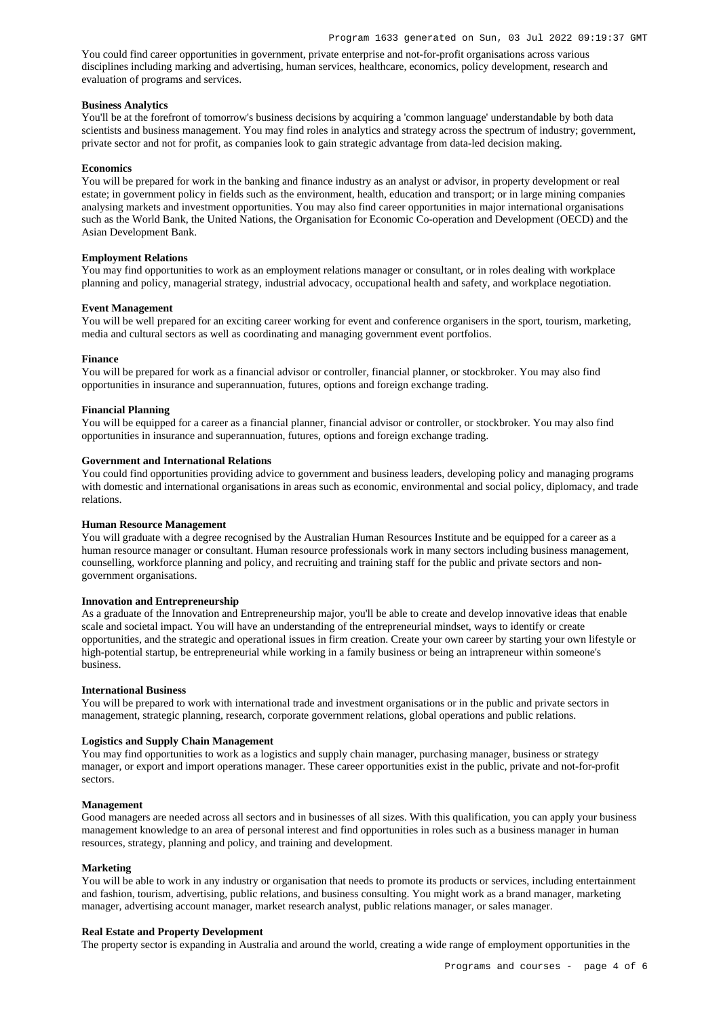You could find career opportunities in government, private enterprise and not-for-profit organisations across various disciplines including marking and advertising, human services, healthcare, economics, policy development, research and evaluation of programs and services.

# **Business Analytics**

You'll be at the forefront of tomorrow's business decisions by acquiring a 'common language' understandable by both data scientists and business management. You may find roles in analytics and strategy across the spectrum of industry; government, private sector and not for profit, as companies look to gain strategic advantage from data-led decision making.

#### **Economics**

You will be prepared for work in the banking and finance industry as an analyst or advisor, in property development or real estate; in government policy in fields such as the environment, health, education and transport; or in large mining companies analysing markets and investment opportunities. You may also find career opportunities in major international organisations such as the World Bank, the United Nations, the Organisation for Economic Co-operation and Development (OECD) and the Asian Development Bank.

# **Employment Relations**

You may find opportunities to work as an employment relations manager or consultant, or in roles dealing with workplace planning and policy, managerial strategy, industrial advocacy, occupational health and safety, and workplace negotiation.

#### **Event Management**

You will be well prepared for an exciting career working for event and conference organisers in the sport, tourism, marketing, media and cultural sectors as well as coordinating and managing government event portfolios.

#### **Finance**

You will be prepared for work as a financial advisor or controller, financial planner, or stockbroker. You may also find opportunities in insurance and superannuation, futures, options and foreign exchange trading.

#### **Financial Planning**

You will be equipped for a career as a financial planner, financial advisor or controller, or stockbroker. You may also find opportunities in insurance and superannuation, futures, options and foreign exchange trading.

## **Government and International Relations**

You could find opportunities providing advice to government and business leaders, developing policy and managing programs with domestic and international organisations in areas such as economic, environmental and social policy, diplomacy, and trade relations.

#### **Human Resource Management**

You will graduate with a degree recognised by the Australian Human Resources Institute and be equipped for a career as a human resource manager or consultant. Human resource professionals work in many sectors including business management, counselling, workforce planning and policy, and recruiting and training staff for the public and private sectors and nongovernment organisations.

### **Innovation and Entrepreneurship**

As a graduate of the Innovation and Entrepreneurship major, you'll be able to create and develop innovative ideas that enable scale and societal impact. You will have an understanding of the entrepreneurial mindset, ways to identify or create opportunities, and the strategic and operational issues in firm creation. Create your own career by starting your own lifestyle or high-potential startup, be entrepreneurial while working in a family business or being an intrapreneur within someone's business.

## **International Business**

You will be prepared to work with international trade and investment organisations or in the public and private sectors in management, strategic planning, research, corporate government relations, global operations and public relations.

#### **Logistics and Supply Chain Management**

You may find opportunities to work as a logistics and supply chain manager, purchasing manager, business or strategy manager, or export and import operations manager. These career opportunities exist in the public, private and not-for-profit sectors.

# **Management**

Good managers are needed across all sectors and in businesses of all sizes. With this qualification, you can apply your business management knowledge to an area of personal interest and find opportunities in roles such as a business manager in human resources, strategy, planning and policy, and training and development.

#### **Marketing**

You will be able to work in any industry or organisation that needs to promote its products or services, including entertainment and fashion, tourism, advertising, public relations, and business consulting. You might work as a brand manager, marketing manager, advertising account manager, market research analyst, public relations manager, or sales manager.

## **Real Estate and Property Development**

The property sector is expanding in Australia and around the world, creating a wide range of employment opportunities in the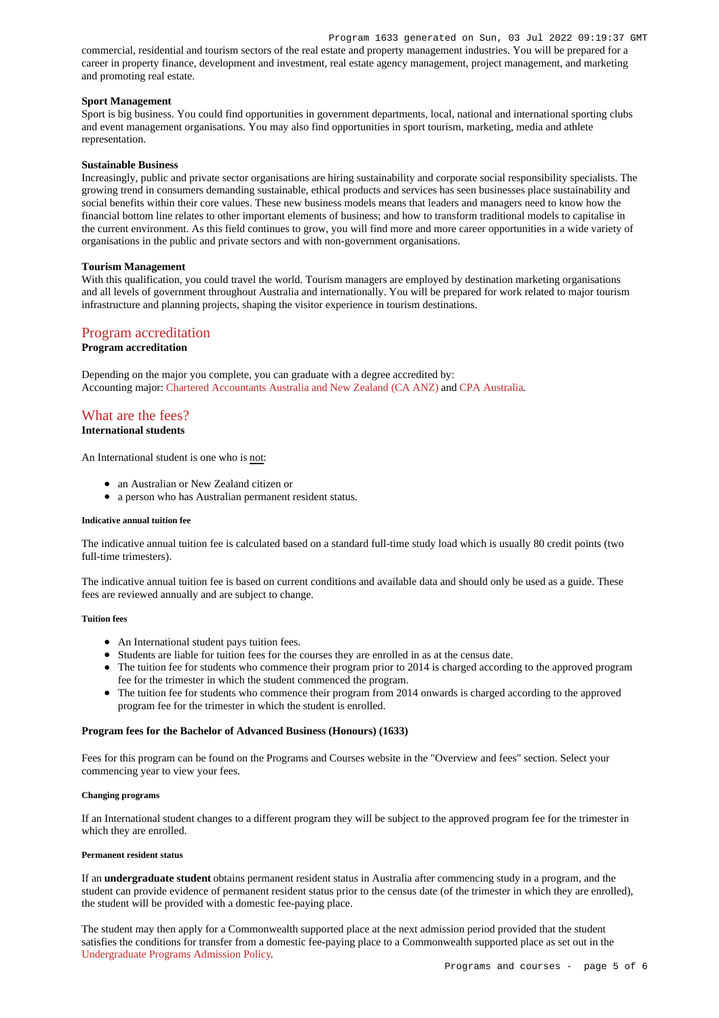commercial, residential and tourism sectors of the real estate and property management industries. You will be prepared for a career in property finance, development and investment, real estate agency management, project management, and marketing and promoting real estate.

# **Sport Management**

Sport is big business. You could find opportunities in government departments, local, national and international sporting clubs and event management organisations. You may also find opportunities in sport tourism, marketing, media and athlete representation.

# **Sustainable Business**

Increasingly, public and private sector organisations are hiring sustainability and corporate social responsibility specialists. The growing trend in consumers demanding sustainable, ethical products and services has seen businesses place sustainability and social benefits within their core values. These new business models means that leaders and managers need to know how the financial bottom line relates to other important elements of business; and how to transform traditional models to capitalise in the current environment. As this field continues to grow, you will find more and more career opportunities in a wide variety of organisations in the public and private sectors and with non-government organisations.

# **Tourism Management**

With this qualification, you could travel the world. Tourism managers are employed by destination marketing organisations and all levels of government throughout Australia and internationally. You will be prepared for work related to major tourism infrastructure and planning projects, shaping the visitor experience in tourism destinations.

# [Program accreditation](https://www148.griffith.edu.au/programs-courses/Program/1633/Overview/International#accreditation)

# **Program accreditation**

Depending on the major you complete, you can graduate with a degree accredited by: Accounting major: [Chartered Accountants Australia and New Zealand \(CA ANZ\)](https://www.charteredaccountantsanz.com/) and [CPA Australia](https://www.cpaaustralia.com.au/).

# [What are the fees?](https://www148.griffith.edu.au/programs-courses/Program/1633/Overview/International#fees)

# **International students**

An International student is one who is not:

- an Australian or New Zealand citizen or
- a person who has Australian permanent resident status.

## **Indicative annual tuition fee**

The indicative annual tuition fee is calculated based on a standard full-time study load which is usually 80 credit points (two full-time trimesters).

The indicative annual tuition fee is based on current conditions and available data and should only be used as a guide. These fees are reviewed annually and are subject to change.

# **Tuition fees**

- An International student pays tuition fees.
- Students are liable for tuition fees for the courses they are enrolled in as at the census date.
- The tuition fee for students who commence their program prior to 2014 is charged according to the approved program fee for the trimester in which the student commenced the program.
- The tuition fee for students who commence their program from 2014 onwards is charged according to the approved program fee for the trimester in which the student is enrolled.

# **Program fees for the Bachelor of Advanced Business (Honours) (1633)**

Fees for this program can be found on the Programs and Courses website in the "Overview and fees" section. Select your commencing year to view your fees.

## **Changing programs**

If an International student changes to a different program they will be subject to the approved program fee for the trimester in which they are enrolled.

# **Permanent resident status**

If an **undergraduate student** obtains permanent resident status in Australia after commencing study in a program, and the student can provide evidence of permanent resident status prior to the census date (of the trimester in which they are enrolled), the student will be provided with a domestic fee-paying place.

The student may then apply for a Commonwealth supported place at the next admission period provided that the student satisfies the conditions for transfer from a domestic fee-paying place to a Commonwealth supported place as set out in the Undergraduate Programs Admission Policy.